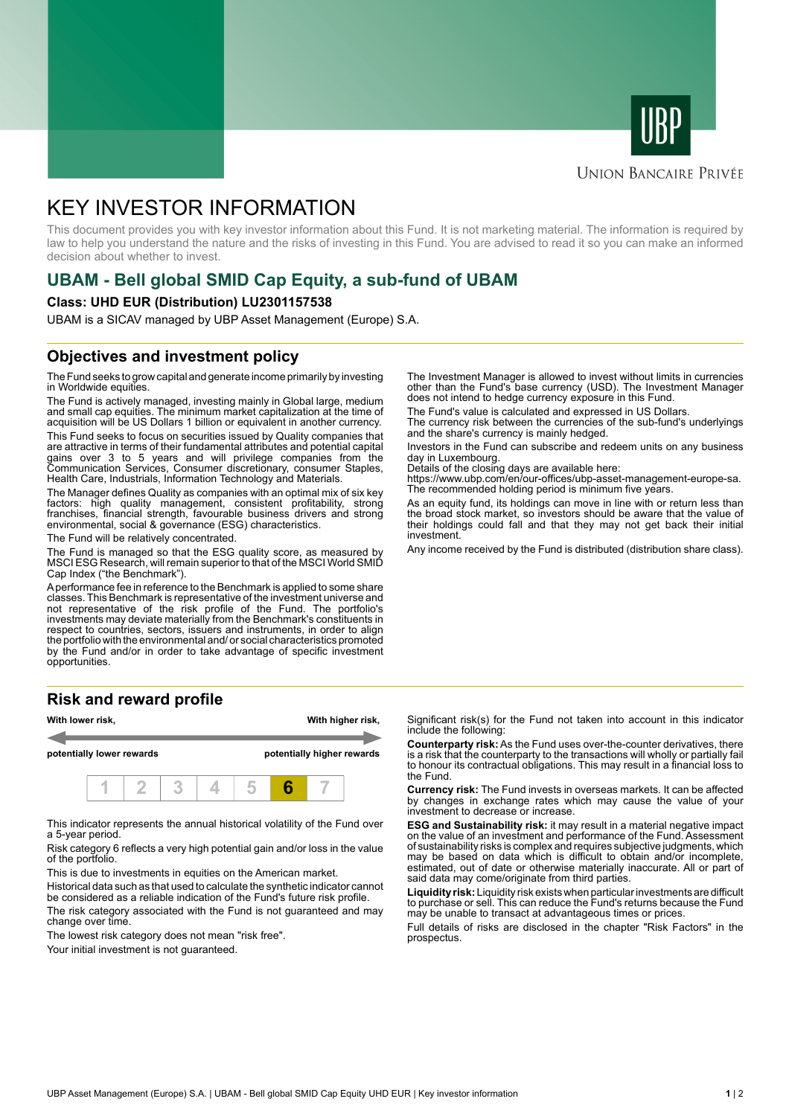



### **UNION BANCAIRE PRIVÉE**

# KEY INVESTOR INFORMATION

This document provides you with key investor information about this Fund. It is not marketing material. The information is required by law to help you understand the nature and the risks of investing in this Fund. You are advised to read it so you can make an informed decision about whether to invest.

# **UBAM - Bell global SMID Cap Equity, a sub-fund of UBAM**

#### **Class: UHD EUR (Distribution) LU2301157538**

UBAM is a SICAV managed by UBP Asset Management (Europe) S.A.

# **Objectives and investment policy**

The Fund seeks to grow capital and generate income primarily by investing in Worldwide equities.

The Fund is actively managed, investing mainly in Global large, medium and small cap equities. The minimum market capitalization at the time of acquisition will be US Dollars 1 billion or equivalent in another currency.

This Fund seeks to focus on securities issued by Quality companies that are attractive in terms of their fundamental attributes and potential capital gains over 3 to 5 years and will privilege companies from the Communication Services, Consumer discretionary, consumer Staples, Health Care, Industrials, Information Technology and Materials.

The Manager defines Quality as companies with an optimal mix of six key factors: high quality management, consistent profitability, strong franchises, financial strength, favourable business drivers and strong environmental, social & governance (ESG) characteristics.

The Fund will be relatively concentrated.

The Fund is managed so that the ESG quality score, as measured by MSCI ESG Research, will remain superior to that of the MSCI World SMID Cap Index ("the Benchmark").

A performance fee in reference to the Benchmark is applied to some share classes. This Benchmark is representative of the investment universe and not representative of the risk profile of the Fund. The portfolio's investments may deviate materially from the Benchmark's constituents in respect to countries, sectors, issuers and instruments, in order to align the portfolio with the environmental and/ or social characteristics promoted by the Fund and/or in order to take advantage of specific investment opportunities.

# **Risk and reward profile**



This indicator represents the annual historical volatility of the Fund over a 5-year period.

Risk category 6 reflects a very high potential gain and/or loss in the value of the portfolio.

This is due to investments in equities on the American market.

Historical data such as that used to calculate the synthetic indicator cannot be considered as a reliable indication of the Fund's future risk profile.

The risk category associated with the Fund is not guaranteed and may change over time.

The lowest risk category does not mean "risk free".

Your initial investment is not quaranteed.

The Investment Manager is allowed to invest without limits in currencies other than the Fund's base currency (USD). The Investment Manager does not intend to hedge currency exposure in this Fund.

The Fund's value is calculated and expressed in US Dollars.

The currency risk between the currencies of the sub-fund's underlyings and the share's currency is mainly hedged.

Investors in the Fund can subscribe and redeem units on any business day in Luxembourg.

Details of the closing days are available here:

https://www.ubp.com/en/our-offices/ubp-asset-management-europe-sa. The recommended holding period is minimum five years.

As an equity fund, its holdings can move in line with or return less than the broad stock market, so investors should be aware that the value of their holdings could fall and that they may not get back their initial investment.

Any income received by the Fund is distributed (distribution share class).

Significant risk(s) for the Fund not taken into account in this indicator include the following:

**Counterparty risk:** As the Fund uses over-the-counter derivatives, there is a risk that the counterparty to the transactions will wholly or partially fail to honour its contractual obligations. This may result in a financial loss to the Fund.

**Currency risk:** The Fund invests in overseas markets. It can be affected by changes in exchange rates which may cause the value of your investment to decrease or increase.

**ESG and Sustainability risk:** it may result in a material negative impact on the value of an investment and performance of the Fund. Assessment of sustainability risks is complex and requires subjective judgments, which may be based on data which is difficult to obtain and/or incomplete, estimated, out of date or otherwise materially inaccurate. All or part of said data may come/originate from third parties.

**Liquidity risk:** Liquidity risk exists when particular investments are difficult to purchase or sell. This can reduce the Fund's returns because the Fund may be unable to transact at advantageous times or prices.

Full details of risks are disclosed in the chapter "Risk Factors" in the prospectus.